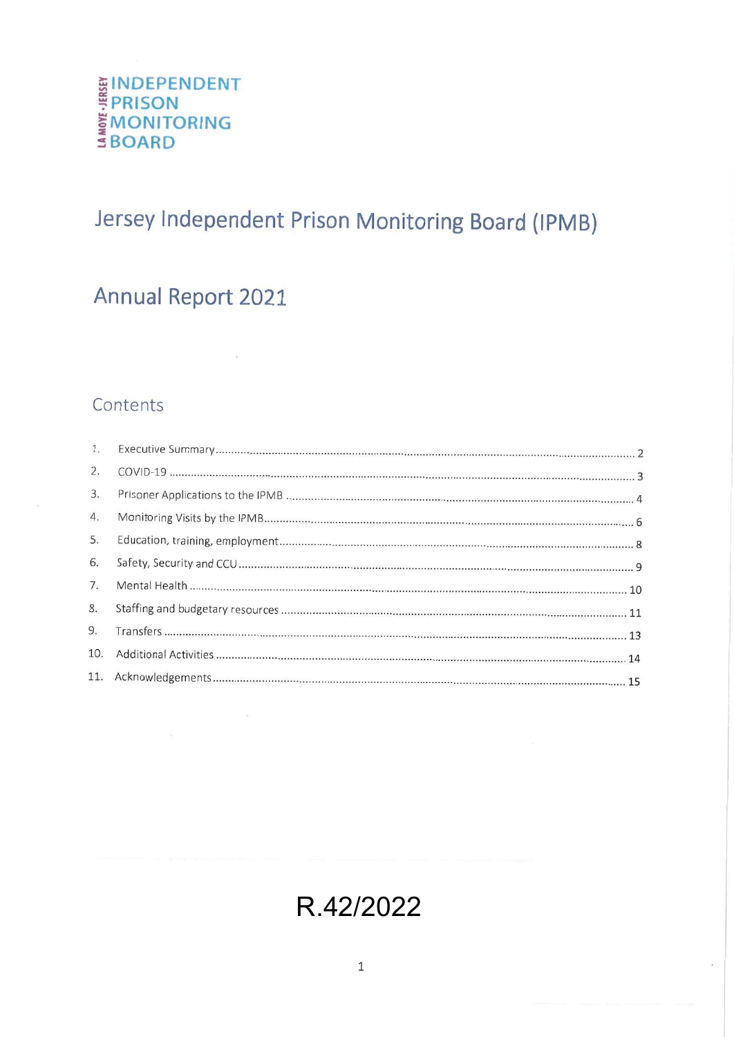# **EINDEPENDENT<br>FPRISON<br>EMONITORING<br>S BOARD**

## Jersey Independent Prison Monitoring Board (IPMB)

## Annual Report 2021

 $\sim$ 

 $\sim 10^{11}$  m  $^{-1}$ 

### Contents

| 1.  |  |
|-----|--|
| 2.  |  |
| 3.  |  |
| 4.  |  |
| 5.  |  |
| 6.  |  |
| 7.  |  |
| 8.  |  |
| 9.  |  |
| 10. |  |
|     |  |
|     |  |

## R.42/2022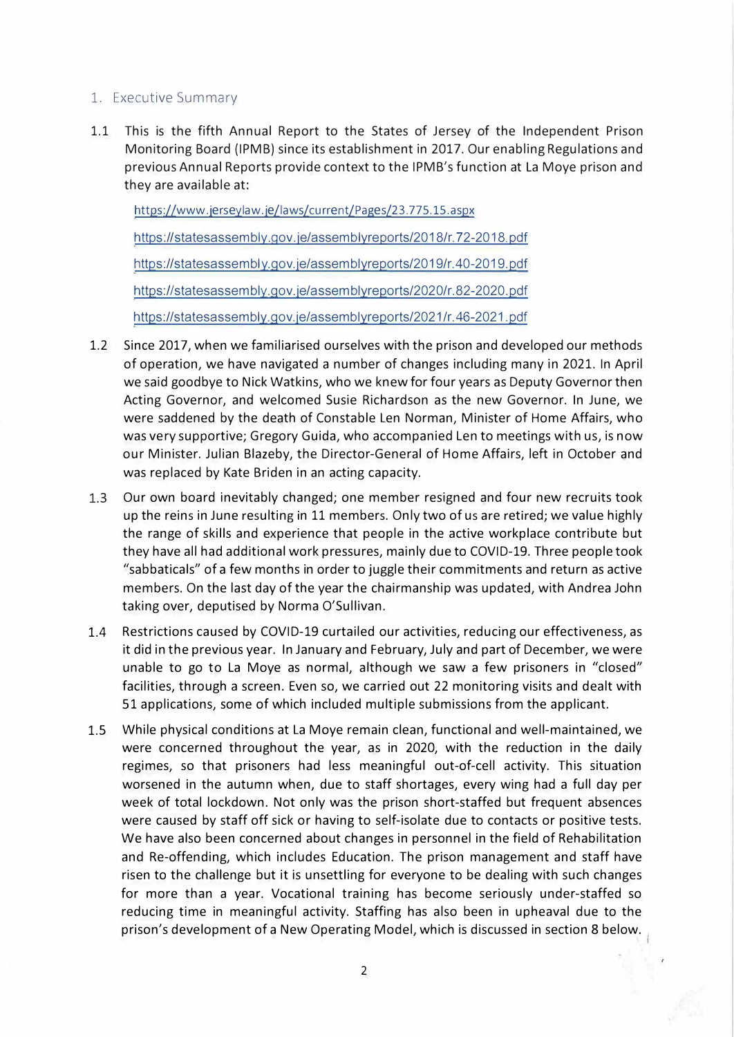#### 1. Executive Summary

1.1 This is the fifth Annual Report to the States of Jersey of the Independent Prison Monitoring Board (IPMB) since its establishment in 2017. Our enabling Regulations and previous Annual Reports provide context to the IPMB's function at La Moye prison and they are available at:

https://www. jersey law. je/laws/cu rrent/Pages/23. 775.15.aspx https://statesassembly.gov. je/assemblyreports/2018/r. 72-2018. pdf https://statesassem bly.gov.je/assemblyreports/2019/r.40-2019. pdf https://statesassembly.gov.je/assemblyreports/2020/r.82-2020.pdf https://statesassembly.gov.je/assemblyreports/2021/r.46-2021.pdf

- 1.2 Since 2017, when we familiarised ourselves with the prison and developed our methods of operation, we have navigated a number of changes including many in 2021. In April we said goodbye to Nick Watkins, who we knew for four years as Deputy Governor then Acting Governor, and welcomed Susie Richardson as the new Governor. In June, we were saddened by the death of Constable Len Norman, Minister of Home Affairs, who was very supportive; Gregory Guida, who accompanied Len to meetings with us, is now our Minister. Julian Blazeby, the Director-General of Home Affairs, left in October and was replaced by Kate Briden in an acting capacity.
- **1.3**  Our own board inevitably changed; one member resigned and four new recruits took up the reins in June resulting in 11 members. Only two of us are retired; we value highly the range of skills and experience that people in the active workplace contribute but they have all had additional work pressures, mainly due to COVID-19. Three people took "sabbaticals" of a few months in order to juggle their commitments and return as active members. On the last day of the year the chairmanship was updated, with Andrea John taking over, deputised by Norma O'Sullivan.
- 1.4 Restrictions caused by COVID-19 curtailed our activities, reducing our effectiveness, as it did in the previous year. In January and February, July and part of December, we were unable to go to La Moye as normal, although we saw a few prisoners in "closed" facilities, through a screen. Even so, we carried out 22 monitoring visits and dealt with 51 applications, some of which included multiple submissions from the applicant.
- 1.5 While physical conditions at La Moye remain clean, functional and well-maintained, we were concerned throughout the year, as in 2020, with the reduction in the daily regimes, so that prisoners had less meaningful out-of-cell activity. This situation worsened in the autumn when, due to staff shortages, every wing had a full day per week of total lockdown. Not only was the prison short-staffed but frequent absences were caused by staff off sick or having to self-isolate due to contacts or positive tests. We have also been concerned about changes in personnel in the field of Rehabilitation and Re-offending, which includes Education. The prison management and staff have risen to the challenge but it is unsettling for everyone to be dealing with such changes for more than a year. Vocational training has become seriously under-staffed so reducing time in meaningful activity. Staffing has also been in upheaval due to the prison's development of a New Operating Model, which is discussed in section 8 below.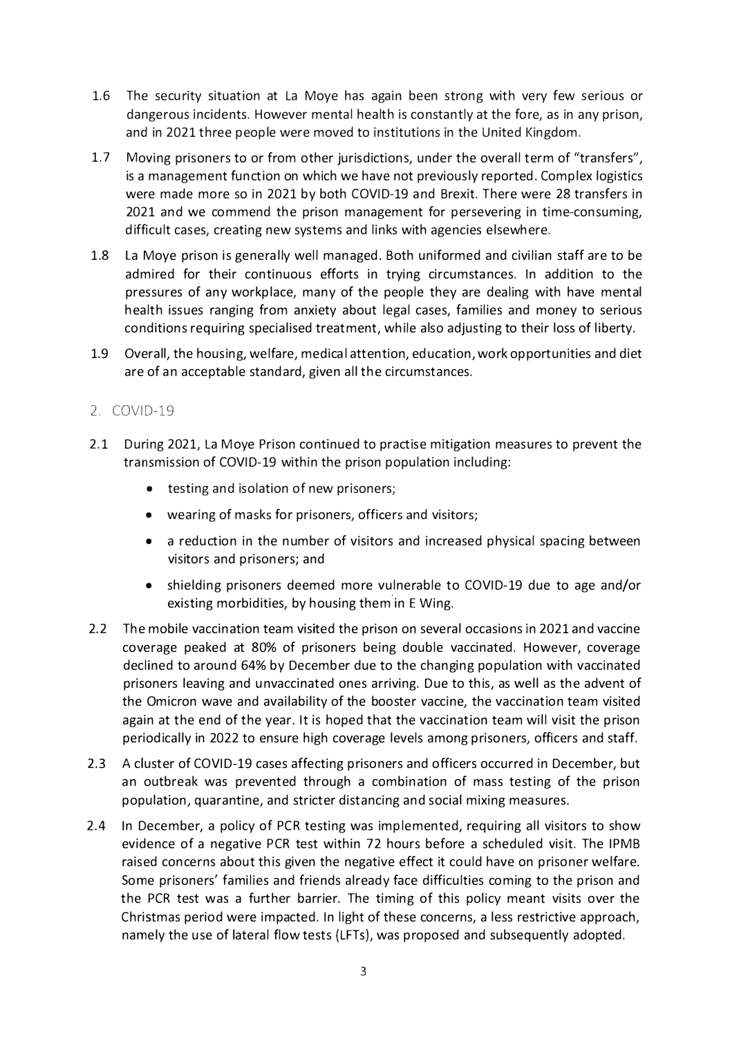- 1.6 The security situation at La Moye has again been strong with very few serious or dangerous incidents. However mental health is constantly at the fore, as in any prison, and in 2021 three people were moved to institutions in the United Kingdom.
- 1.7 Moving prisoners to or from other jurisdictions, under the overall term of "transfers", is a management function on which we have not previously reported. Complex logistics were made more so in 2021 by both COVID-19 and Brexit. There were 28 transfers in 2021 and we commend the prison management for persevering in time-consuming, difficult cases, creating new systems and links with agencies elsewhere.
- 1.8 La Moye prison is generally well managed. Both uniformed and civilian staff are to be admired for their continuous efforts in trying circumstances. In addition to the pressures of any workplace, many of the people they are dealing with have mental health issues ranging from anxiety about legal cases, families and money to serious conditions requiring specialised treatment, while also adjusting to their loss of liberty.
- 1.9 Overall, the housing, welfare, medical attention, education, work opportunities and diet are of an acceptable standard, given all the circumstances.

#### 2. COVID-19

- 2.1 During 2021, La Moye Prison continued to practise mitigation measures to prevent the transmission of COVID-19 within the prison population including:
	- testing and isolation of new prisoners;
	- wearing of masks for prisoners, officers and visitors;
	- a reduction in the number of visitors and increased physical spacing between visitors and prisoners; and
	- shielding prisoners deemed more vulnerable to COVID-19 due to age and/or existing morbidities, by housing them in E Wing.
- 2.2 The mobile vaccination team visited the prison on several occasions in 2021 and vaccine coverage peaked at 80% of prisoners being double vaccinated. However, coverage declined to around 64% by December due to the changing population with vaccinated prisoners leaving and unvaccinated ones arriving. Due to this, as well as the advent of the Omicron wave and availability of the booster vaccine, the vaccination team visited again at the end of the year. It is hoped that the vaccination team will visit the prison periodically in 2022 to ensure high coverage levels among prisoners, officers and staff.
- 2.3 A cluster of COVID-19 cases affecting prisoners and officers occurred in December, but an outbreak was prevented through a combination of mass testing of the prison population, quarantine, and stricter distancing and social mixing measures.
- 2.4 In December, a policy of PCR testing was implemented, requiring all visitors to show evidence of a negative PCR test within 72 hours before a scheduled visit. The IPMB raised concerns about this given the negative effect it could have on prisoner welfare. Some prisoners' families and friends already face difficulties coming to the prison and the PCR test was a further barrier. The timing of this policy meant visits over the Christmas period were impacted. In light of these concerns, a less restrictive approach, namely the use of lateral flow tests (LFTs), was proposed and subsequently adopted.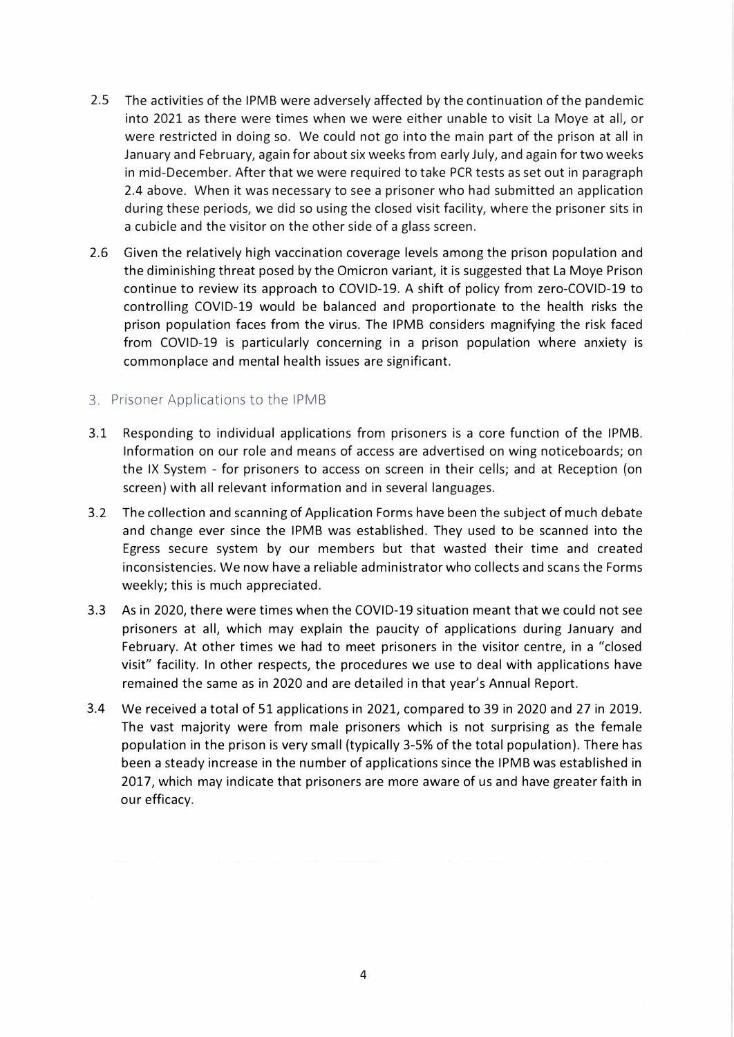- 2.5 The activities of the IPMB were adversely affected by the continuation of the pandemic into 2021 as there were times when we were either unable to visit La Moye at all, or were restricted in doing so. We could not go into the main part of the prison at all in January and February, again for about six weeks from early July, and again for two weeks in mid-December. After that we were required to take PCR tests as set out in paragraph 2.4 above. When it was necessary to see a prisoner who had submitted an application during these periods, we did so using the closed visit facility, where the prisoner sits in a cubicle and the visitor on the other side of a glass screen.
- 2.6 Given the relatively high vaccination coverage levels among the prison population and the diminishing threat posed by the Omicron variant, it is suggested that La Moye Prison continue to review its approach to COVID-19. A shift of policy from zero-COVID-19 to controlling COVID-19 would be balanced and proportionate to the health risks the prison population faces from the virus. The IPMB considers magnifying the risk faced from COVID-19 is particularly concerning in a prison population where anxiety is commonplace and mental health issues are significant.

#### 3. Prisoner Applications to the IPMB

- 3.1 Responding to individual applications from prisoners is a core function of the IPMB. Information on our role and means of access are advertised on wing noticeboards; on the IX System - for prisoners to access on screen in their cells; and at Reception (on screen} with all relevant information and in several languages.
- 3.2 The collection and scanning of Application Forms have been the subject of much debate and change ever since the IPMB was established. They used to be scanned into the Egress secure system by our members but that wasted their time and created inconsistencies. We now have a reliable administrator who collects and scans the Forms weekly; this is much appreciated.
- 3.3 As in 2020, there were times when the COVID-19 situation meant that we could not see prisoners at all, which may explain the paucity of applications during January and February. At other times we had to meet prisoners in the visitor centre, in a "closed visit" facility. In other respects, the procedures we use to deal with applications have remained the same as in 2020 and are detailed in that year's Annual Report.
- 3.4 We received a total of 51 applications in 2021, compared to 39 in 2020 and 27 in 2019. The vast majority were from male prisoners which is not surprising as the female population in the prison is very small (typically 3-5% of the total population}. There has been a steady increase in the number of applications since the IPMB was established in 2017, which may indicate that prisoners are more aware of us and have greater faith in our efficacy.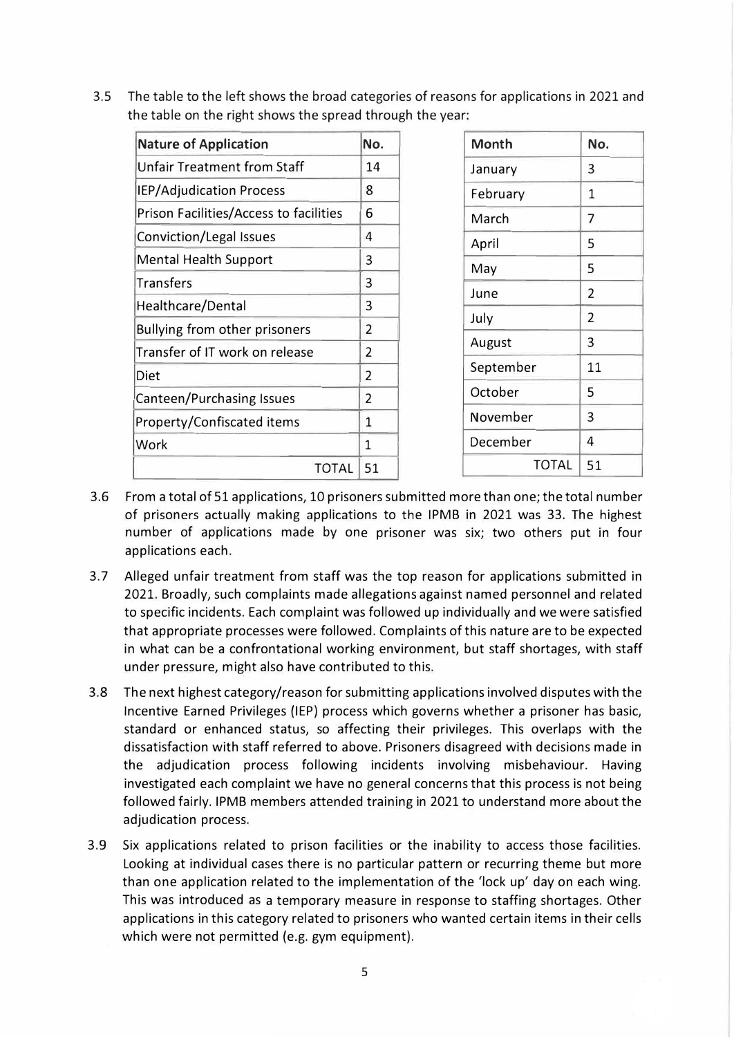3.5 The table to the left shows the broad categories of reasons for applications in 2021 and the table on the right shows the spread through the year:

| <b>Nature of Application</b>           |    | Month        | No.            |
|----------------------------------------|----|--------------|----------------|
| <b>Unfair Treatment from Staff</b>     |    | January      | 3              |
| IEP/Adjudication Process               |    | February     | $\mathbf{1}$   |
| Prison Facilities/Access to facilities |    | March        | $\overline{7}$ |
| Conviction/Legal Issues                |    | April        | 5              |
| <b>Mental Health Support</b>           |    | May          | 5              |
| <b>Transfers</b>                       |    | June         | 2              |
| Healthcare/Dental                      |    |              | $\overline{2}$ |
| Bullying from other prisoners          |    | July         |                |
| Transfer of IT work on release         |    | August       | 3              |
| <b>Diet</b>                            |    | September    | 11             |
| Canteen/Purchasing Issues              |    | October      | 5              |
| Property/Confiscated items             |    | November     | 3              |
| Work                                   |    | December     | 4              |
| <b>TOTAL</b>                           | 51 | <b>TOTAL</b> | 51             |

- 3.6 From a total of 51 applications, 10 prisoners submitted more than one; the total number of prisoners actually making applications to the IPMB in 2021 was 33. The highest number of applications made by one prisoner was six; two others put in four applications each.
- 3.7 Alleged unfair treatment from staff was the top reason for applications submitted in 2021. Broadly, such complaints made allegations against named personnel and related to specific incidents. Each complaint was followed up individually and we were satisfied that appropriate processes were followed. Complaints of this nature are to be expected in what can be a confrontational working environment, but staff shortages, with staff under pressure, might also have contributed to this.
- 3.8 The next highest category/reason for submitting applications involved disputes with the Incentive Earned Privileges (IEP) process which governs whether a prisoner has basic, standard or enhanced status, so affecting their privileges. This overlaps with the dissatisfaction with staff referred to above. Prisoners disagreed with decisions made in the adjudication process following incidents involving misbehaviour. Having investigated each complaint we have no general concerns that this process is not being followed fairly. IPMB members attended training in 2021 to understand more about the adjudication process.
- 3.9 Six applications related to prison facilities or the inability to access those facilities. Looking at individual cases there is no particular pattern or recurring theme but more than one application related to the implementation of the 'lock up' day on each wing. This was introduced as a temporary measure in response to staffing shortages. Other applications in this category related to prisoners who wanted certain items in their cells which were not permitted (e.g. gym equipment).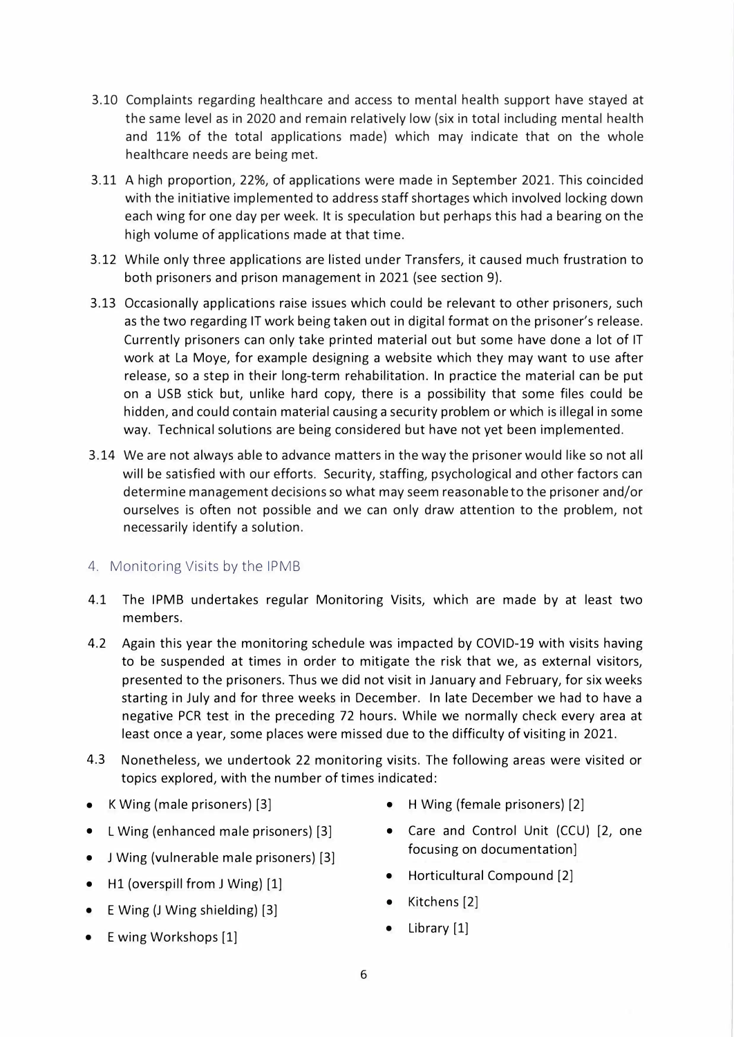- 3.10 Complaints regarding healthcare and access to mental health support have stayed at the same level as in 2020 and remain relatively low (six in total including mental health and 11% of the total applications made) which may indicate that on the whole healthcare needs are being met.
- 3.11 A high proportion, 22%, of applications were made in September 2021. This coincided with the initiative implemented to address staff shortages which involved locking down each wing for one day per week. It is speculation but perhaps this had a bearing on the high volume of applications made at that time.
- 3.12 While only three applications are listed under Transfers, it caused much frustration to both prisoners and prison management in 2021 (see section 9).
- 3.13 Occasionally applications raise issues which could be relevant to other prisoners, such as the two regarding IT work being taken out in digital format on the prisoner's release. Currently prisoners can only take printed material out but some have done a lot of IT work at La Moye, for example designing a website which they may want to use after release, so a step in their long-term rehabilitation. In practice the material can be put on a USB stick but, unlike hard copy, there is a possibility that some files could be hidden, and could contain material causing a security problem or which is illegal in some way. Technical solutions are being considered but have not yet been implemented.
- 3.14 We are not always able to advance matters in the way the prisoner would like so not all will be satisfied with our efforts. Security, staffing, psychological and other factors can determine management decisions so what may seem reasonable to the prisoner and/or ourselves is often not possible and we can only draw attention to the problem, not necessarily identify a solution.
- 4. Monitoring Visits by the IPMB
- 4.1 The IPMB undertakes regular Monitoring Visits, which are made by at least two members.
- 4.2 Again this year the monitoring schedule was impacted by COVID-19 with visits having to be suspended at times in order to mitigate the risk that we, as external visitors, presented to the prisoners. Thus we did not visit in January and February, for six weeks starting in July and for three weeks in December. In late December we had to have a negative PCR test in the preceding 72 hours. While we normally check every area at least once a year, some places were missed due to the difficulty of visiting in 2021.
- 4.3 Nonetheless, we undertook 22 monitoring visits. The following areas were visited or topics explored, with the number of times indicated:
- K Wing (male prisoners) [3]
- L Wing (enhanced male prisoners) [3]
- J Wing (vulnerable male prisoners) [3]
- H1 (overspill from J Wing) [1]
- E Wing (J Wing shielding) [3]
- Ewing Workshops [1]
- H Wing (female prisoners) [2]
- Care and Control Unit (CCU) [2, one focusing on documentation]
- Horticultural Compound [2]
- Kitchens [2]
- Library [1]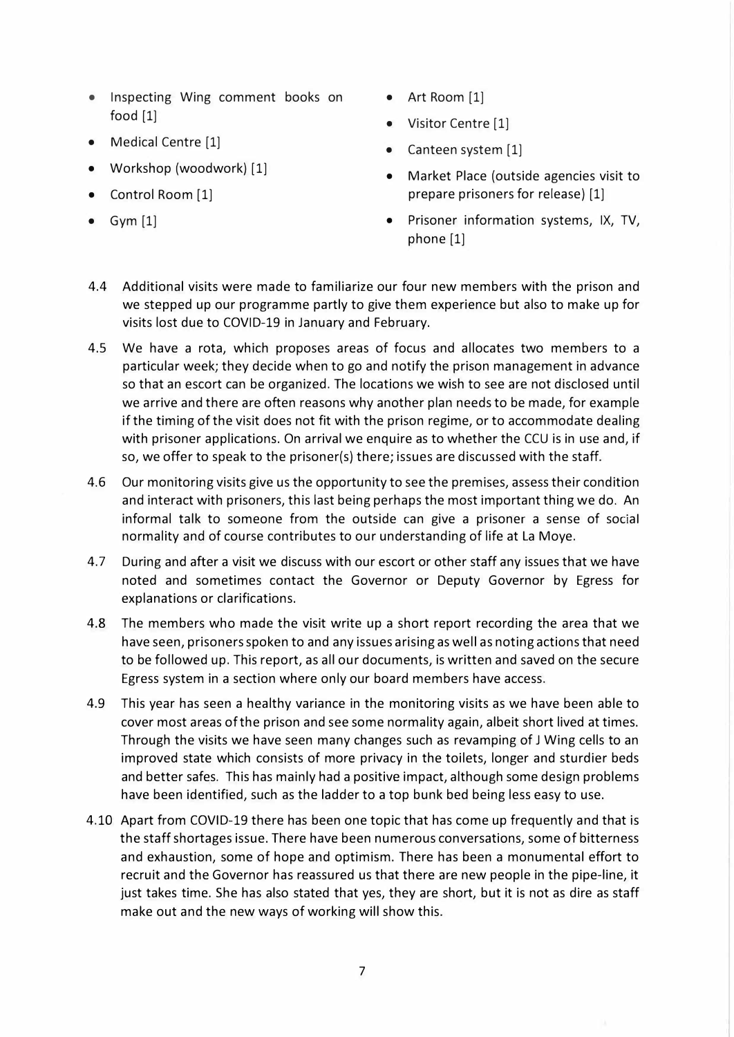- Inspecting Wing comment books on food [1]
- Medical Centre [1]
- Workshop (woodwork) [1]
- Control Room [1]
- $Gym [1]$
- Art Room [1]
- Visitor Centre [1]
- Canteen system [1]
- Market Place (outside agencies visit to prepare prisoners for release) [1]
- Prisoner information systems, IX, TV, phone [1]
- 4.4 Additional visits were made to familiarize our four new members with the prison and we stepped up our programme partly to give them experience but also to make up for visits lost due to COVID-19 in January and February.
- 4.5 We have a rota, which proposes areas of focus and allocates two members to a particular week; they decide when to go and notify the prison management in advance so that an escort can be organized. The locations we wish to see are not disclosed until we arrive and there are often reasons why another plan needs to be made, for example if the timing of the visit does not fit with the prison regime, or to accommodate dealing with prisoner applications. On arrival we enquire as to whether the CCU is in use and, if so, we offer to speak to the prisoner(s) there; issues are discussed with the staff.
- 4.6 Our monitoring visits give us the opportunity to see the premises, assess their condition and interact with prisoners, this last being perhaps the most important thing we do. An informal talk to someone from the outside can give a prisoner a sense of social normality and of course contributes to our understanding of life at La Moye.
- 4.7 During and after a visit we discuss with our escort or other staff any issues that we have noted and sometimes contact the Governor or Deputy Governor by Egress for explanations or clarifications.
- 4.8 The members who made the visit write up a short report recording the area that we have seen, prisoners spoken to and any issues arising as well as noting actions that need to be followed up. This report, as all our documents, is written and saved on the secure Egress system in a section where only our board members have access.
- 4.9 This year has seen a healthy variance in the monitoring visits as we have been able to cover most areas ofthe prison and see some normality again, albeit short lived at times. Through the visits we have seen many changes such as revamping of J Wing cells to an improved state which consists of more privacy in the toilets, longer and sturdier beds and better safes. This has mainly had a positive impact, although some design problems have been identified, such as the ladder to a top bunk bed being less easy to use.
- 4.10 Apart from COVID-19 there has been one topic that has come up frequently and that is the staff shortages issue. There have been numerous conversations, some of bitterness and exhaustion, some of hope and optimism. There has been a monumental effort to recruit and the Governor has reassured us that there are new people in the pipe-line, it just takes time. She has also stated that yes, they are short, but it is not as dire as staff make out and the new ways of working will show this.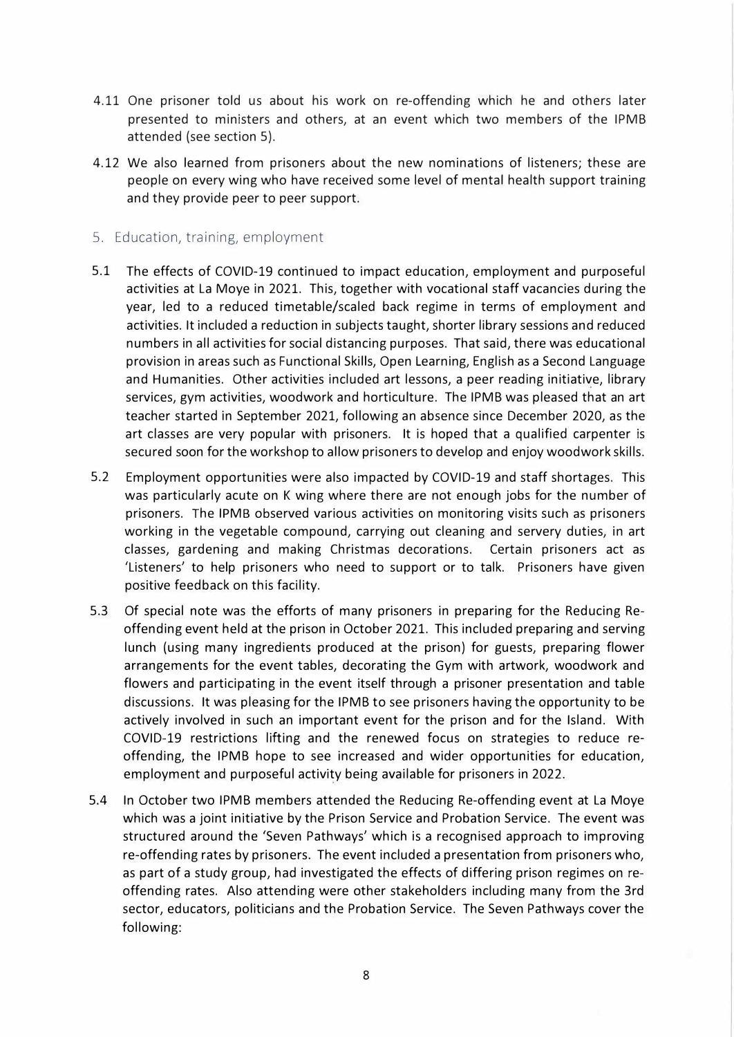- 4.11 One prisoner told us about his work on re-offending which he and others later presented to ministers and others, at an event which two members of the IPMB attended (see section 5).
- 4.12 We also learned from prisoners about the new nominations of listeners; these are people on every wing who have received some level of mental health support training and they provide peer to peer support.
- 5. Education, training, employment
- 5.1 The effects of COVID-19 continued to impact education, employment and purposeful activities at La Moye in 2021. This, together with vocational staff vacancies during the year, led to a reduced timetable/scaled back regime in terms of employment and activities. It included a reduction in subjects taught, shorter library sessions and reduced numbers in all activities for social distancing purposes. That said, there was educational provision in areas such as Functional Skills, Open Learning, English as a Second Language and Humanities. Other activities included art lessons, a peer reading initiative, library services, gym activities, woodwork and horticulture. The IPMB was pleased that an art teacher started in September 2021, following an absence since December 2020, as the art classes are very popular with prisoners. It is hoped that a qualified carpenter is secured soon for the workshop to allow prisoners to develop and enjoy woodwork skills.
- 5.2 Employment opportunities were also impacted by COVID-19 and staff shortages. This was particularly acute on K wing where there are not enough jobs for the number of prisoners. The IPMB observed various activities on monitoring visits such as prisoners working in the vegetable compound, carrying out cleaning and servery duties, in art classes, gardening and making Christmas decorations. Certain prisoners act as 'Listeners' to help prisoners who need to support or to talk. Prisoners have given positive feedback on this facility.
- 5.3 Of special note was the efforts of many prisoners in preparing for the Reducing Reoffending event held at the prison in October 2021. This included preparing and serving lunch (using many ingredients produced at the prison) for guests, preparing flower arrangements for the event tables, decorating the Gym with artwork, woodwork and flowers and participating in the event itself through a prisoner presentation and table discussions. It was pleasing for the IPMB to see prisoners having the opportunity to be actively involved in such an important event for the prison and for the Island. With COVID-19 restrictions lifting and the renewed focus on strategies to reduce reoffending, the IPMB hope to see increased and wider opportunities for education, employment and purposeful activity being available for prisoners in 2022.
- 5.4 In October two IPMB members attended the Reducing Re-offending event at La Moye which was a joint initiative by the Prison Service and Probation Service. The event was structured around the 'Seven Pathways' which is a recognised approach to improving re-offending rates by prisoners. The event included a presentation from prisoners who, as part of a study group, had investigated the effects of differing prison regimes on reoffending rates. Also attending were other stakeholders including many from the 3rd sector, educators, politicians and the Probation Service. The Seven Pathways cover the following: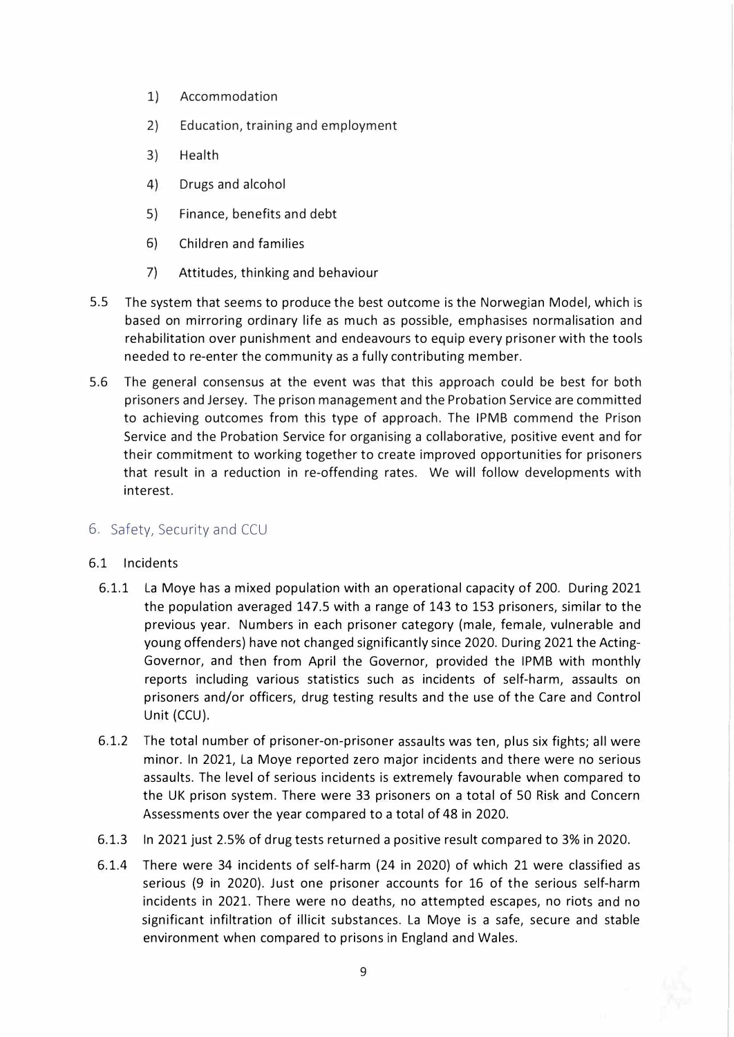- 1) Accommodation
- 2) Education, training and employment
- 3) Health
- 4) Drugs and alcohol
- 5) Finance, benefits and debt
- 6) Children and families
- 7) Attitudes, thinking and behaviour
- 5.5 The system that seems to produce the best outcome is the Norwegian Model, which is based on mirroring ordinary life as much as possible, emphasises normalisation and rehabilitation over punishment and endeavours to equip every prisoner with the tools needed to re-enter the community as a fully contributing member.
- 5.6 The general consensus at the event was that this approach could be best for both prisoners and Jersey. The prison management and the Probation Service are committed to achieving outcomes from this type of approach. The IPMB commend the Prison Service and the Probation Service for organising a collaborative, positive event and for their commitment to working together to create improved opportunities for prisoners that result in a reduction in re-offending rates. We will follow developments with interest.

#### 6. Safety, Security and CCU

#### 6.1 Incidents

- 6.1.1 La Moye has a mixed population with an operational capacity of 200. During 2021 the population averaged 147.5 with a range of 143 to 153 prisoners, similar to the previous year. Numbers in each prisoner category (male, female, vulnerable and young offenders) have not changed significantly since 2020. During 2021 the Acting-Governor, and then from April the Governor, provided the IPMB with monthly reports including various statistics such as incidents of self-harm, assaults on prisoners and/or officers, drug testing results and the use of the Care and Control Unit (CCU).
- 6.1.2 The total number of prisoner-on-prisoner assaults was ten, plus six fights; all were minor. In 2021, La Moye reported zero major incidents and there were no serious assaults. The level of serious incidents is extremely favourable when compared to the UK prison system. There were 33 prisoners on a total of 50 Risk and Concern Assessments over the year compared to a total of 48 in 2020.
- 6.1.3 In 2021 just 2.5% of drug tests returned a positive result compared to 3% in 2020.
- 6.1.4 There were 34 incidents of self-harm (24 in 2020) of which 21 were classified as serious (9 in 2020). Just one prisoner accounts for 16 of the serious self-harm incidents in 2021. There were no deaths, no attempted escapes, no riots and no significant infiltration of illicit substances. La Moye is a safe, secure and stable environment when compared to prisons in England and Wales.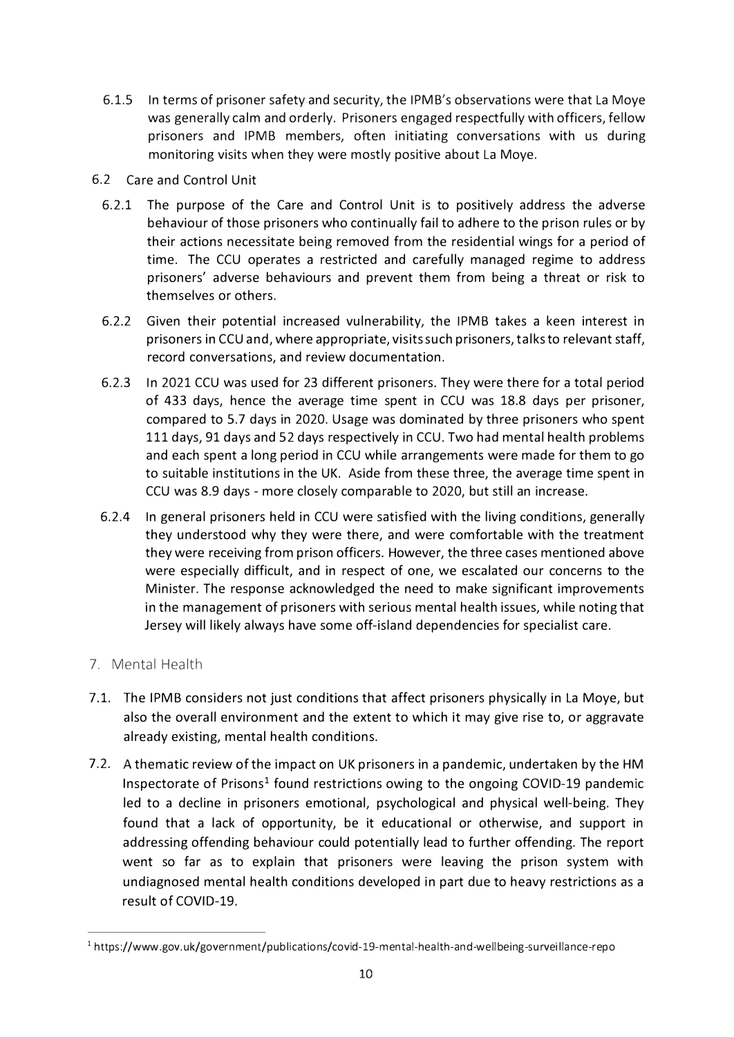- 6.1.5 In terms of prisoner safety and security, the IPMB's observations were that La Moye was generally calm and orderly. Prisoners engaged respectfully with officers, fellow prisoners and IPMB members, often initiating conversations with us during monitoring visits when they were mostly positive about La Moye.
- 6.2 Care and Control Unit
	- 6.2.1 The purpose of the Care and Control Unit is to positively address the adverse behaviour of those prisoners who continually fail to adhere to the prison rules or by their actions necessitate being removed from the residential wings for a period of time. The CCU operates a restricted and carefully managed regime to address prisoners' adverse behaviours and prevent them from being a threat or risk to themselves or others.
	- 6.2.2 Given their potential increased vulnerability, the IPMB takes a keen interest in prisoners in CCU and, where appropriate, visits such prisoners, talks to relevant staff, record conversations, and review documentation.
	- 6.2.3 In 2021 CCU was used for 23 different prisoners. They were there for a total period of 433 days, hence the average time spent in CCU was 18.8 days per prisoner, compared to 5.7 days in 2020. Usage was dominated by three prisoners who spent 111 days, 91 days and 52 days respectively in CCU. Two had mental health problems and each spent a long period in CCU while arrangements were made for them to go to suitable institutions in the UK. Aside from these three, the average time spent in CCU was 8.9 days - more closely comparable to 2020, but still an increase.
	- 6.2.4 In general prisoners held in CCU were satisfied with the living conditions, generally they understood why they were there, and were comfortable with the treatment they were receiving from prison officers. However, the three cases mentioned above were especially difficult, and in respect of one, we escalated our concerns to the Minister. The response acknowledged the need to make significant improvements in the management of prisoners with serious mental health issues, while noting that Jersey will likely always have some off-island dependencies for specialist care.
- 7. Mental Health
- 7.1. The IPMB considers not just conditions that affect prisoners physically in La Moye, but also the overall environment and the extent to which it may give rise to, or aggravate already existing, mental health conditions.
- 7 .2. A thematic review of the impact on UK prisoners in a pandemic, undertaken by the HM Inspectorate of Prisons<sup>1</sup> found restrictions owing to the ongoing COVID-19 pandemic led to a decline in prisoners emotional, psychological and physical well-being. They found that a lack of opportunity, be it educational or otherwise, and support in addressing offending behaviour could potentially lead to further offending. The report went so far as to explain that prisoners were leaving the prison system with undiagnosed mental health conditions developed in part due to heavy restrictions as a result of COVID-19.

<sup>&</sup>lt;sup>1</sup> https://www.gov.uk/government/publications/covid-19-mental-health-and-wellbeing-surveillance-repo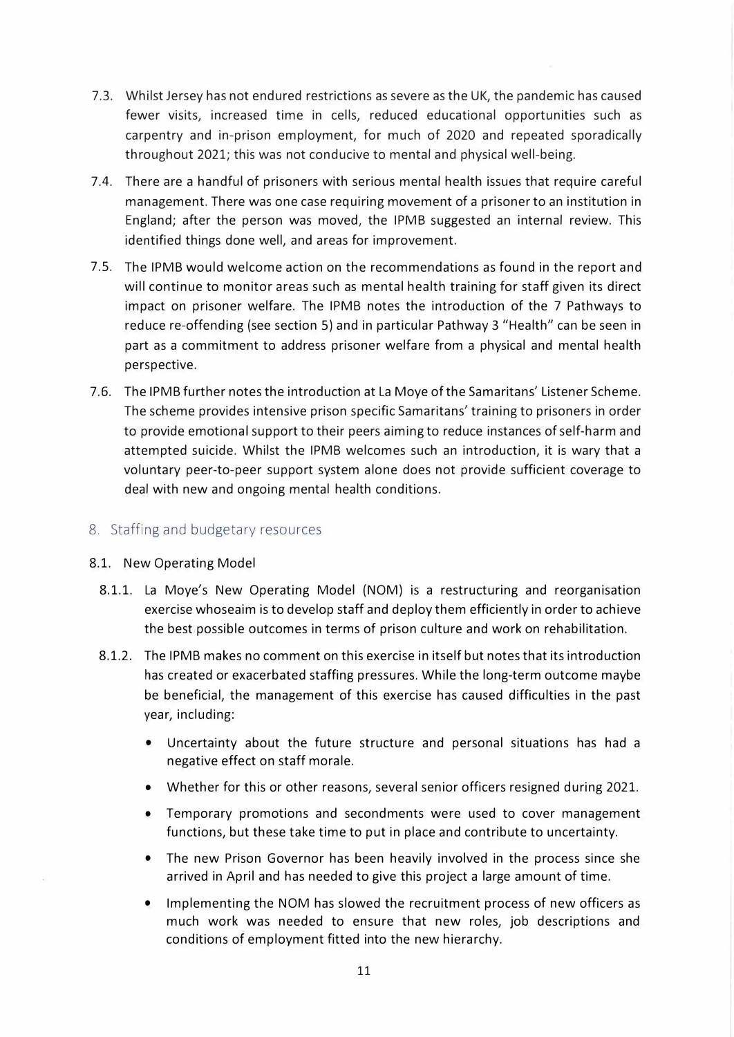- 7.3. Whilst Jersey has not endured restrictions as severe as the UK, the pandemic has caused fewer visits, increased time in cells, reduced educational opportunities such as carpentry and in-prison employment, for much of 2020 and repeated sporadically throughout 2021; this was not conducive to mental and physical well-being.
- 7.4. There are a handful of prisoners with serious mental health issues that require careful management. There was one case requiring movement of a prisoner to an institution in England; after the person was moved, the IPMB suggested an internal review. This identified things done well, and areas for improvement.
- 7.5. The IPMB would welcome action on the recommendations as found in the report and will continue to monitor areas such as mental health training for staff given its direct impact on prisoner welfare. The IPMB notes the introduction of the 7 Pathways to reduce re-offending (see section 5) and in particular Pathway 3 "Health" can be seen in part as a commitment to address prisoner welfare from a physical and mental health perspective.
- 7.6. The IPMB further notes the introduction at La Moye of the Samaritans' Listener Scheme. The scheme provides intensive prison specific Samaritans' training to prisoners in order to provide emotional support to their peers aiming to reduce instances of self-harm and attempted suicide. Whilst the IPMB welcomes such an introduction, it is wary that a voluntary peer-to-peer support system alone does not provide sufficient coverage to deal with new and ongoing mental health conditions.

#### 8. Staffing and budgetary resources

#### 8.1. New Operating Model

- 8.1.1. La Moye's New Operating Model (NOM) is a restructuring and reorganisation exercise whoseaim is to develop staff and deploy them efficiently in order to achieve the best possible outcomes in terms of prison culture and work on rehabilitation.
- 8.1.2. The IPMB makes no comment on this exercise in itself but notes that its introduction has created or exacerbated staffing pressures. While the long-term outcome maybe be beneficial, the management of this exercise has caused difficulties in the past year, including:
	- Uncertainty about the future structure and personal situations has had a negative effect on staff morale.
	- Whether for this or other reasons, several senior officers resigned during 2021.
	- Temporary promotions and secondments were used to cover management functions, but these take time to put in place and contribute to uncertainty.
	- The new Prison Governor has been heavily involved in the process since she arrived in April and has needed to give this project a large amount of time.
	- Implementing the NOM has slowed the recruitment process of new officers as much work was needed to ensure that new roles, job descriptions and conditions of employment fitted into the new hierarchy.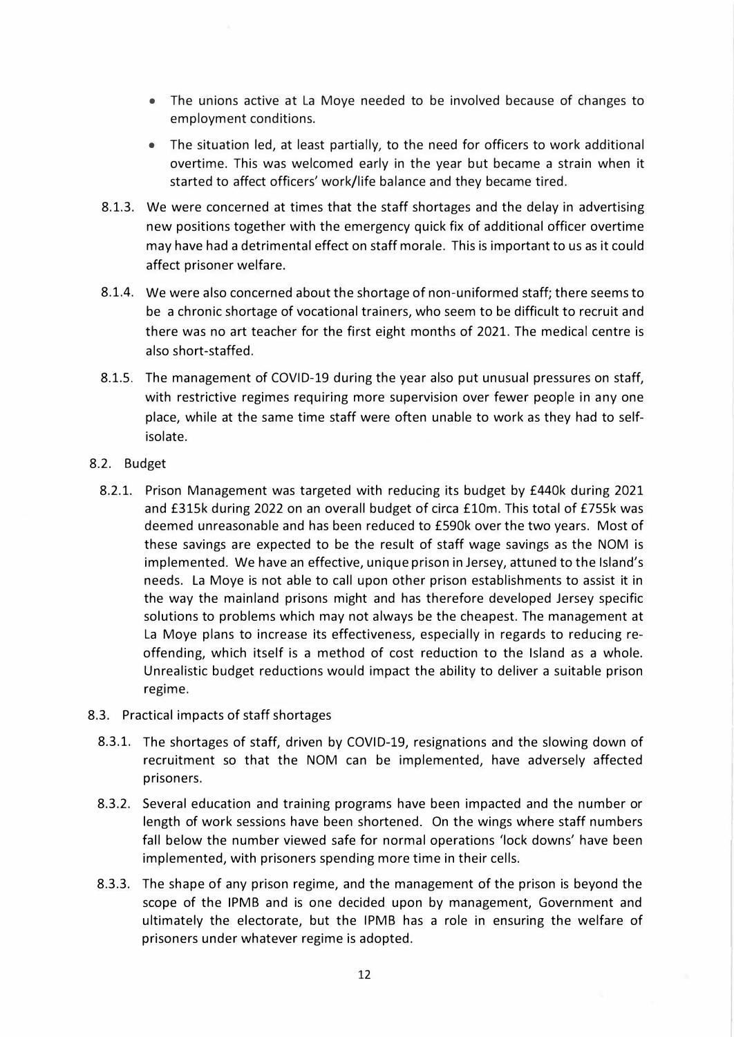- The unions active at La Moye needed to be involved because of changes to employment conditions.
- The situation led, at least partially, to the need for officers to work additional overtime. This was welcomed early in the year but became a strain when it started to affect officers' work/life balance and they became tired.
- 8.1.3. We were concerned at times that the staff shortages and the delay in advertising new positions together with the emergency quick fix of additional officer overtime may have had a detrimental effect on staff morale. This is important to us as it could affect prisoner welfare.
- 8.1.4. We were also concerned about the shortage of non-uniformed staff; there seems to be a chronic shortage of vocational trainers, who seem to be difficult to recruit and there was no art teacher for the first eight months of 2021. The medical centre is also short-staffed.
- 8.1.5. The management of COVID-19 during the year also put unusual pressures on staff, with restrictive regimes requiring more supervision over fewer people in any one place, while at the same time staff were often unable to work as they had to selfisolate.
- 8.2. Budget
	- 8.2.1. Prison Management was targeted with reducing its budget by £440k during 2021 and £315k during 2022 on an overall budget of circa £10m. This total of £755k was deemed unreasonable and has been reduced to £590k over the two years. Most of these savings are expected to be the result of staff wage savings as the NOM is implemented. We have an effective, unique prison in Jersey, attuned to the Island's needs. La Moye is not able to call upon other prison establishments to assist it in the way the mainland prisons might and has therefore developed Jersey specific solutions to problems which may not always be the cheapest. The management at La Moye plans to increase its effectiveness, especially in regards to reducing reoffending, which itself is a method of cost reduction to the Island as a whole. Unrealistic budget reductions would impact the ability to deliver a suitable prison regime.
- 8.3. Practical impacts of staff shortages
	- 8.3.1. The shortages of staff, driven by COVID-19, resignations and the slowing down of recruitment so that the NOM can be implemented, have adversely affected prisoners.
	- 8.3.2. Several education and training programs have been impacted and the number or length of work sessions have been shortened. On the wings where staff numbers fall below the number viewed safe for normal operations 'lock downs' have been implemented, with prisoners spending more time in their cells.
	- 8.3.3. The shape of any prison regime, and the management of the prison is beyond the scope of the IPMB and is one decided upon by management, Government and ultimately the electorate, but the IPMB has a role in ensuring the welfare of prisoners under whatever regime is adopted.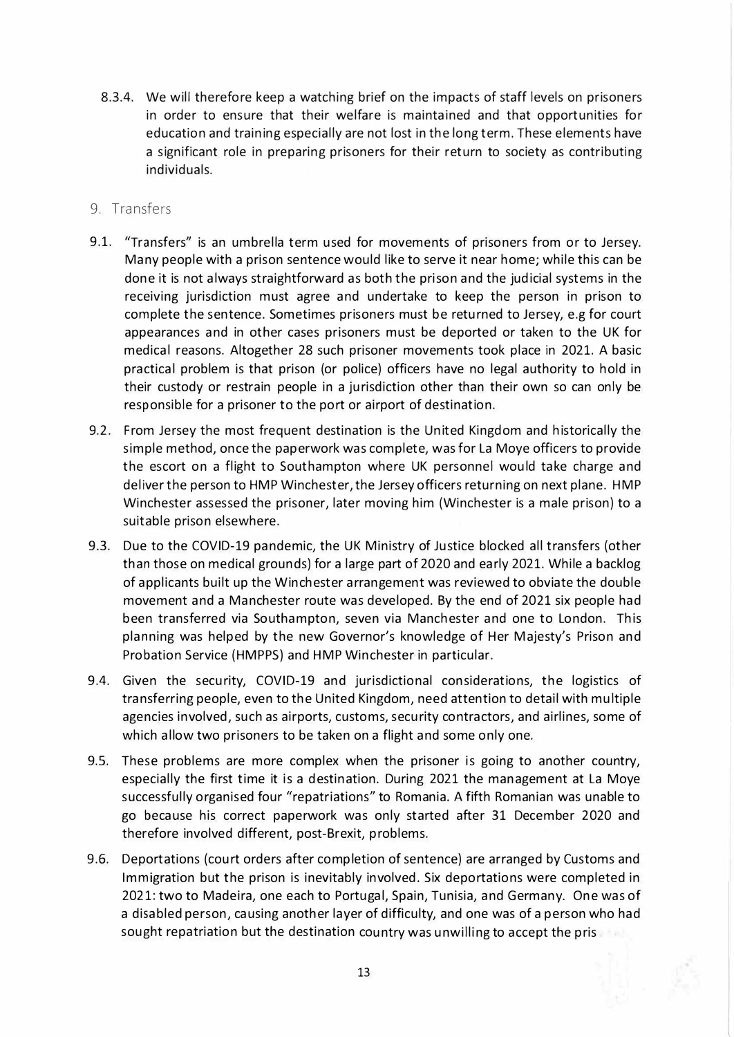- 8.3.4. We will therefore keep a watching brief on the impacts of staff levels on prisoners in order to ensure that their welfare is maintained and that opportunities for education and training especially are not lost in the long term. These elements have a significant role in preparing prisoners for their return to society as contributing individuals.
- 9. Transfers
- 9.1. "Transfers" is an umbrella term used for movements of prisoners from or to Jersey. Many people with a prison sentence would like to serve it near home; while this can be done it is not always straightforward as both the prison and the judicial systems in the receiving jurisdiction must agree and undertake to keep the person in prison to complete the sentence. Sometimes prisoners must be returned to Jersey, e.g for court appearances and in other cases prisoners must be deported or taken to the UK for medical reasons. Altogether 28 such prisoner movements took place in 2021. A basic practical problem is that prison (or police) officers have no legal authority to hold in their custody or restrain people in a jurisdiction other than their own so can only be responsible for a prisoner to the port or airport of destination.
- 9.2. From Jersey the most frequent destination is the United Kingdom and historically the simple method, once the paperwork was complete, was for La Moye officers to provide the escort on a flight to Southampton where UK personnel would take charge and deliver the person to HMP Winchester, the Jersey officers returning on next plane. HMP Winchester assessed the prisoner, later moving him (Winchester is a male prison) to a suitable prison elsewhere.
- 9.3. Due to the COVID-19 pandemic, the UK Ministry of Justice blocked all transfers (other than those on medical grounds) for a large part of 2020 and early 2021. While a backlog of applicants built up the Winchester arrangement was reviewed to obviate the double movement and a Manchester route was developed. By the end of 2021 six people had been transferred via Southampton, seven via Manchester and one to London. This planning was helped by the new Governor's knowledge of Her Majesty's Prison and Probation Service (HMPPS) and HMP Winchester in particular.
- 9.4. Given the security, COVID-19 and jurisdictional considerations, the logistics of transferring people, even to the United Kingdom, need attention to detail with multiple agencies involved, such as airports, customs, security contractors, and airlines, some of which allow two prisoners to be taken on a flight and some only one.
- 9.5. These problems are more complex when the prisoner is going to another country, especially the first time it is a destination. During 2021 the management at La Moye successfully organised four "repatriations" to Romania. A fifth Romanian was unable to go because his correct paperwork was only started after 31 December 2020 and therefore involved different, post-Brexit, problems.
- 9.6. Deportations (court orders after completion of sentence) are arranged by Customs and Immigration but the prison is inevitably involved. Six deportations were completed in 2021: two to Madeira, one each to Portugal, Spain, Tunisia, and Germany. One was of a disabled person, causing another layer of difficulty, and one was of a person who had sought repatriation but the destination country was unwilling to accept the pris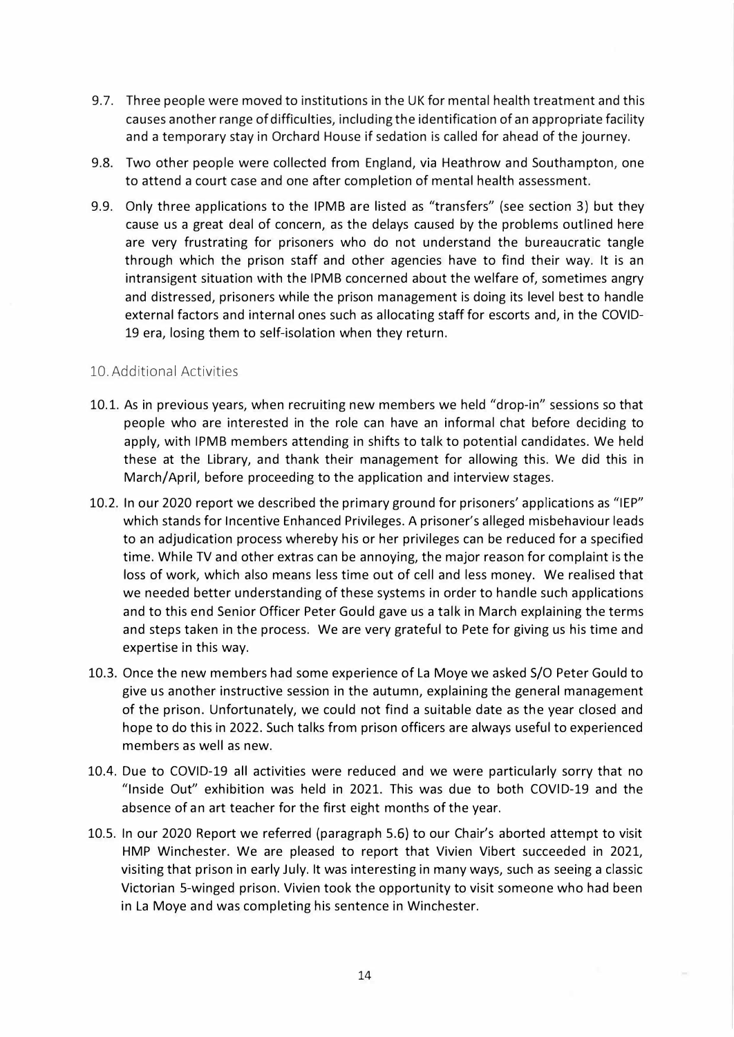- 9.7. Three people were moved to institutions in the UK for mental health treatment and this causes another range of difficulties, including the identification of an appropriate facility and a temporary stay in Orchard House if sedation is called for ahead of the journey.
- 9.8. Two other people were collected from England, via Heathrow and Southampton, one to attend a court case and one after completion of mental health assessment.
- 9.9. Only three applications to the IPMB are listed as "transfers" (see section 3) but they cause us a great deal of concern, as the delays caused by the problems outlined here are very frustrating for prisoners who do not understand the bureaucratic tangle through which the prison staff and other agencies have to find their way. It is an intransigent situation with the IPMB concerned about the welfare of, sometimes angry and distressed, prisoners while the prison management is doing its level best to handle external factors and internal ones such as allocating staff for escorts and, in the COVID-19 era, losing them to self-isolation when they return.

#### 10. Additional Activities

- 10.1. As in previous years, when recruiting new members we held "drop-in" sessions so that people who are interested in the role can have an informal chat before deciding to apply, with IPMB members attending in shifts to talk to potential candidates. We held these at the Library, and thank their management for allowing this. We did this in March/April, before proceeding to the application and interview stages.
- 10.2. In our 2020 report we described the primary ground for prisoners' applications as "IEP" which stands for Incentive Enhanced Privileges. A prisoner's alleged misbehaviour leads to an adjudication process whereby his or her privileges can be reduced for a specified time. While TV and other extras can be annoying, the major reason for complaint is the loss of work, which also means less time out of cell and less money. We realised that we needed better understanding of these systems in order to handle such applications and to this end Senior Officer Peter Gould gave us a talk in March explaining the terms and steps taken in the process. We are very grateful to Pete for giving us his time and expertise in this way.
- 10.3. Once the new members had some experience of La Moye we asked S/O Peter Gould to give us another instructive session in the autumn, explaining the general management of the prison. Unfortunately, we could not find a suitable date as the year closed and hope to do this in 2022. Such talks from prison officers are always useful to experienced members as well as new.
- 10.4. Due to COVID-19 all activities were reduced and we were particularly sorry that no "Inside Out" exhibition was held in 2021. This was due to both COVID-19 and the absence of an art teacher for the first eight months of the year.
- 10.5. In our 2020 Report we referred (paragraph 5.6) to our Chair's aborted attempt to visit HMP Winchester. We are pleased to report that Vivien Vibert succeeded in 2021, visiting that prison in early July. It was interesting in many ways, such as seeing a classic Victorian 5-winged prison. Vivien took the opportunity to visit someone who had been in La Moye and was completing his sentence in Winchester.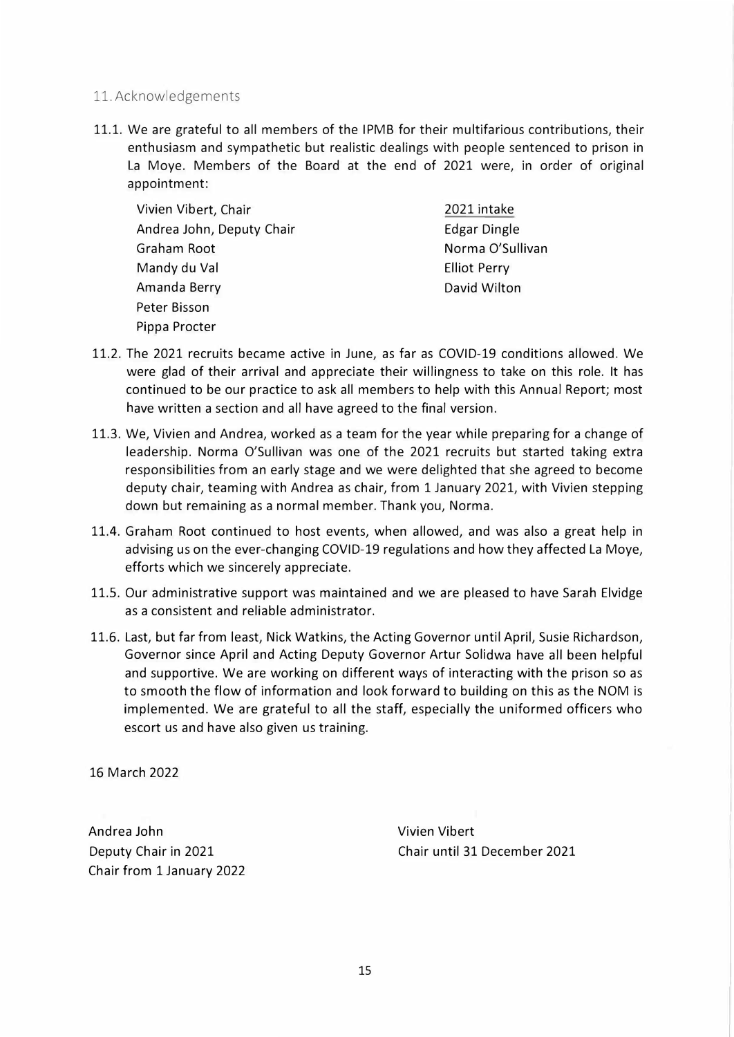- 11. Acknowledgements
- 11.1. We are grateful to all members of the IPMB for their multifarious contributions, their enthusiasm and sympathetic but realistic dealings with people sentenced to prison in La Moye. Members of the Board at the end of 2021 were, in order of original appointment:

Vivien Vibert, Chair Andrea John, Deputy Chair Graham Root Mandy du Val Amanda Berry Peter Bisson Pippa Procter

2021 intake Edgar Dingle Norma O'Sullivan Elliot Perry David Wilton

- 11.2. The 2021 recruits became active in June, as far as COVID-19 conditions allowed. We were glad of their arrival and appreciate their willingness to take on this role. It has continued to be our practice to ask all members to help with this Annual Report; most have written a section and all have agreed to the final version.
- 11.3. We, Vivien and Andrea, worked as a team for the year while preparing for a change of leadership. Norma O'Sullivan was one of the 2021 recruits but started taking extra responsibilities from an early stage and we were delighted that she agreed to become deputy chair, teaming with Andrea as chair, from 1 January 2021, with Vivien stepping down but remaining as a normal member. Thank you, Norma.
- 11.4. Graham Root continued to host events, when allowed, and was also a great help in advising us on the ever-changing COVID-19 regulations and how they affected La Moye, efforts which we sincerely appreciate.
- 11.5. Our administrative support was maintained and we are pleased to have Sarah Elvidge as a consistent and reliable administrator.
- 11.6. Last, but far from least, Nick Watkins, the Acting Governor until April, Susie Richardson, Governor since April and Acting Deputy Governor Artur Solidwa have all been helpful and supportive. We are working on different ways of interacting with the prison so as to smooth the flow of information and look forward to building on this as the NOM is implemented. We are grateful to all the staff, especially the uniformed officers who escort us and have also given us training.

16 March 2022

Andrea John Deputy Chair in 2021 Chair from 1 January 2022 Vivien Vibert Chair until 31 December 2021